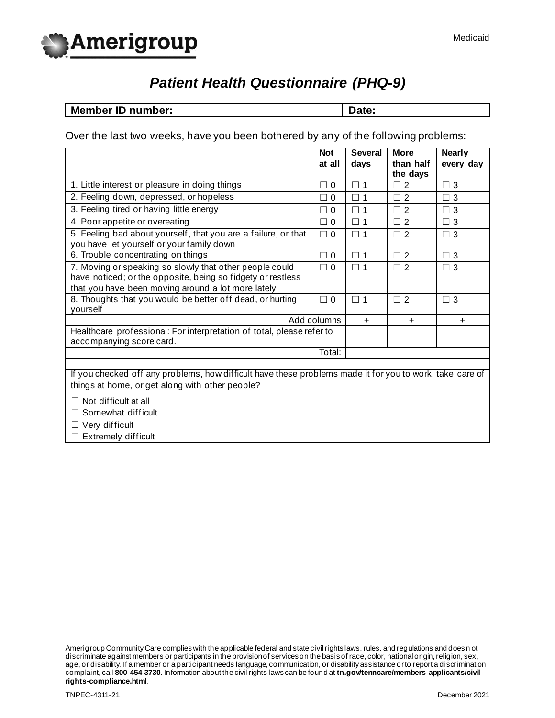

# *Patient Health Questionnaire (PHQ-9)*

**Member ID number:**  $\qquad$  Date:

Over the last two weeks, have you been bothered by any of the following problems:

|                                                                                                             | <b>Not</b>         | <b>Several</b> | <b>More</b>                                   | <b>Nearly</b> |  |
|-------------------------------------------------------------------------------------------------------------|--------------------|----------------|-----------------------------------------------|---------------|--|
|                                                                                                             | at all             | days           | than half<br>the days                         | every day     |  |
| 1. Little interest or pleasure in doing things                                                              | $\Box$ 0           | $\Box$ 1       | $\overline{2}$<br>┓                           | $\Box$ 3      |  |
| 2. Feeling down, depressed, or hopeless                                                                     | $\Omega$<br>a di   | $\Box$ 1       | 2<br>П                                        | $\Box$ 3      |  |
| 3. Feeling tired or having little energy                                                                    | $\Box$ 0           | $\Box$ 1       | $\overline{2}$<br>$\mathcal{L}_{\mathcal{A}}$ | $\Box$ 3      |  |
| 4. Poor appetite or overeating                                                                              | $\Box$ 0           | $\Box$ 1       | $\overline{2}$<br>□                           | $\Box$ 3      |  |
| 5. Feeling bad about yourself, that you are a failure, or that<br>you have let yourself or your family down | $\Box$ 0           | $\Box$ 1       | $\Box$ 2                                      | $\Box$ 3      |  |
| 6. Trouble concentrating on things                                                                          | $\Box$ 0           | $\square$ 1    | 2<br>□                                        | $\Box$ 3      |  |
| 7. Moving or speaking so slowly that other people could                                                     | $\Box$<br>$\Omega$ | $\Box$ 1       | $\overline{2}$<br>$\Box$                      | $\Box$ 3      |  |
| have noticed; or the opposite, being so fidgety or restless                                                 |                    |                |                                               |               |  |
| that you have been moving around a lot more lately                                                          |                    |                |                                               |               |  |
| 8. Thoughts that you would be better off dead, or hurting<br>yourself                                       | $\Box$ $\Omega$    | $\Box$ 1       | $\overline{2}$<br>٦                           | $\Box$ 3      |  |
|                                                                                                             | Add columns        | $\ddot{}$      | $+$                                           | $\ddot{}$     |  |
| Healthcare professional: For interpretation of total, please refer to<br>accompanying score card.           |                    |                |                                               |               |  |
| Total:                                                                                                      |                    |                |                                               |               |  |
|                                                                                                             |                    |                |                                               |               |  |
| If you checked off any problems, how difficult have these problems made it for you to work, take care of    |                    |                |                                               |               |  |
| things at home, or get along with other people?                                                             |                    |                |                                               |               |  |
| $\Box$ Not difficult at all                                                                                 |                    |                |                                               |               |  |
| $\Box$ Somewhat difficult                                                                                   |                    |                |                                               |               |  |
| $\Box$ $\Lambda/\sim$ $\Lambda$ difficult                                                                   |                    |                |                                               |               |  |

 $\Box$  Very difficult  $\Box$  Extremely difficult

Amerigroup Community Care complies with the applicable federal and state civil rights laws, rules, and regulations and does n ot discriminate against members or participants in the provision of services on the basis of race, color, national origin, religion, sex, age, or disability. If a member or a participant needs language, communication, or disability assistance or to report a discrimination complaint, call **800-454-3730**. Information about the civil rights laws can be found at **tn.gov/tenncare/members-applicants/civilrights-compliance.html**.